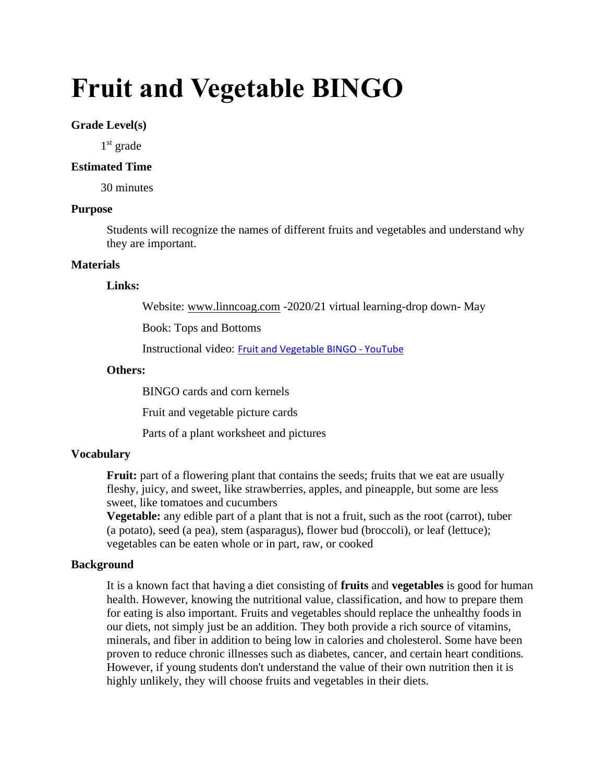# **Fruit and Vegetable BINGO**

## **Grade Level(s)**

1 st grade

#### **Estimated Time**

30 minutes

## **Purpose**

Students will recognize the names of different fruits and vegetables and understand why they are important.

#### **Materials**

#### **Links:**

Website: [www.linncoag.com](http://www.linncoag.com/) -2020/21 virtual learning-drop down- May

Book: Tops and Bottoms

Instructional video: [Fruit and Vegetable BINGO -](https://www.youtube.com/watch?v=j_J0s91LHwA) YouTube

#### **Others:**

BINGO cards and corn kernels

Fruit and vegetable picture cards

Parts of a plant worksheet and pictures

## **Vocabulary**

**Fruit:** part of a flowering plant that contains the seeds; fruits that we eat are usually fleshy, juicy, and sweet, like strawberries, apples, and pineapple, but some are less sweet, like tomatoes and cucumbers

**Vegetable:** any edible part of a plant that is not a fruit, such as the root (carrot), tuber (a potato), seed (a pea), stem (asparagus), flower bud (broccoli), or leaf (lettuce); vegetables can be eaten whole or in part, raw, or cooked

## **Background**

It is a known fact that having a diet consisting of **fruits** and **vegetables** is good for human health. However, knowing the nutritional value, classification, and how to prepare them for eating is also important. Fruits and vegetables should replace the unhealthy foods in our diets, not simply just be an addition. They both provide a rich source of vitamins, minerals, and fiber in addition to being low in calories and cholesterol. Some have been proven to reduce chronic illnesses such as diabetes, cancer, and certain heart conditions. However, if young students don't understand the value of their own nutrition then it is highly unlikely, they will choose fruits and vegetables in their diets.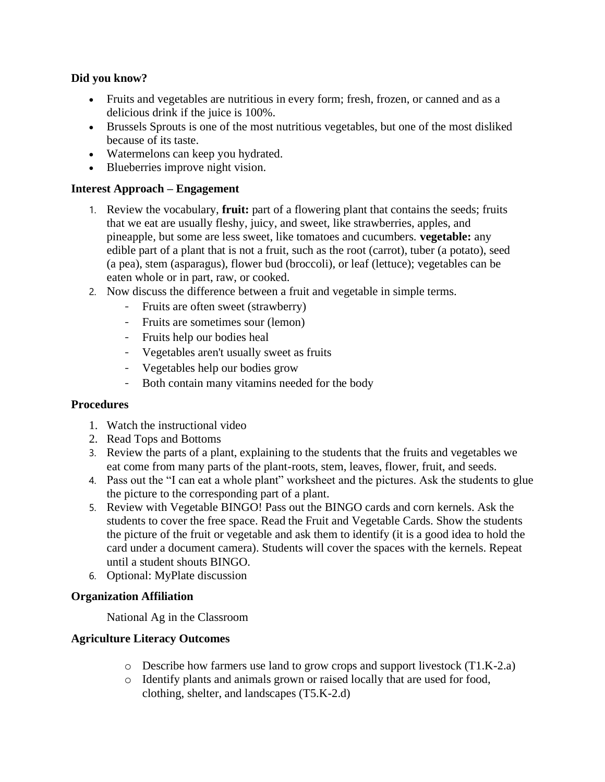# **Did you know?**

- Fruits and vegetables are nutritious in every form; fresh, frozen, or canned and as a delicious drink if the juice is 100%.
- Brussels Sprouts is one of the most nutritious vegetables, but one of the most disliked because of its taste.
- Watermelons can keep you hydrated.
- Blueberries improve night vision.

# **Interest Approach – Engagement**

- 1. Review the vocabulary, **fruit:** part of a flowering plant that contains the seeds; fruits that we eat are usually fleshy, juicy, and sweet, like strawberries, apples, and pineapple, but some are less sweet, like tomatoes and cucumbers. **vegetable:** any edible part of a plant that is not a fruit, such as the root (carrot), tuber (a potato), seed (a pea), stem (asparagus), flower bud (broccoli), or leaf (lettuce); vegetables can be eaten whole or in part, raw, or cooked.
- 2. Now discuss the difference between a fruit and vegetable in simple terms.
	- Fruits are often sweet (strawberry)
	- Fruits are sometimes sour (lemon)
	- Fruits help our bodies heal
	- Vegetables aren't usually sweet as fruits
	- Vegetables help our bodies grow
	- Both contain many vitamins needed for the body

# **Procedures**

- 1. Watch the instructional video
- 2. Read Tops and Bottoms
- 3. Review the parts of a plant, explaining to the students that the fruits and vegetables we eat come from many parts of the plant-roots, stem, leaves, flower, fruit, and seeds.
- 4. Pass out the "I can eat a whole plant" worksheet and the pictures. Ask the students to glue the picture to the corresponding part of a plant.
- 5. Review with Vegetable BINGO! Pass out the BINGO cards and corn kernels. Ask the students to cover the free space. Read the Fruit and Vegetable Cards. Show the students the picture of the fruit or vegetable and ask them to identify (it is a good idea to hold the card under a document camera). Students will cover the spaces with the kernels. Repeat until a student shouts BINGO.
- 6. Optional: MyPlate discussion

# **Organization Affiliation**

National Ag in the Classroom

# **Agriculture Literacy Outcomes**

- o Describe how farmers use land to grow crops and support livestock (T1.K-2.a)
- o Identify plants and animals grown or raised locally that are used for food, clothing, shelter, and landscapes (T5.K-2.d)